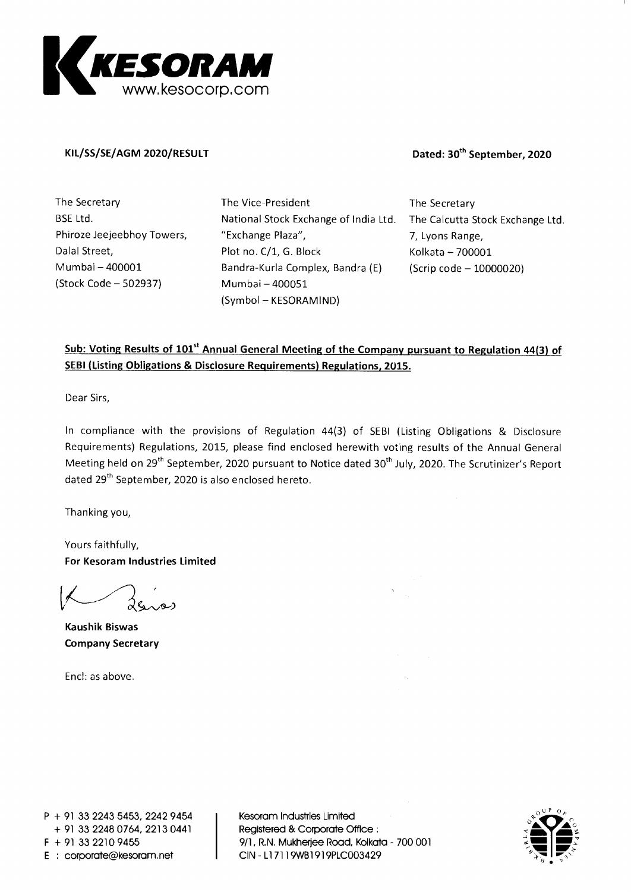

#### **KIL/SS/SE/AGM 2020/RESULT Dated: 30th September, 2020**

**The Secretary BSE Ltd. Phiroze Jeejeebhoy Towers, Dalai Street, Mumbai — 400001 (Stock Code — 502937)** 

**The Vice-President National Stock Exchange of India Ltd. "Exchange Plaza", Plot no. C/1, G. Block Bandra-Kurla Complex, Bandra (E) Mumbai — 400051 (Symbol — KESORAMIND)** 

**The Secretary The Calcutta Stock Exchange Ltd. 7, Lyons Range, Kolkata — 700001 (Scrip code — 10000020)** 

#### Sub: Voting Results of 101<sup>st</sup> Annual General Meeting of the Company pursuant to Regulation 44(3) of **SEBI (Listing Obligations & Disclosure Requirements) Regulations, 2015.**

**Dear Sirs,** 

**In compliance with the provisions of Regulation 44(3) of SEBI (Listing Obligations & Disclosure Requirements) Regulations, 2015, please find enclosed herewith voting results of the Annual General Meeting held on 29 th September, 2020 pursuant to Notice dated 30 th July, 2020. The Scrutinizer's Report dated 29th September, 2020 is also enclosed hereto.** 

**Thanking you,** 

**Yours faithfully, For Kesoram Industries Limited** 

**Kaushik Biswas Company Secretary** 

**Encl: as above.** 

**P + 91 33 2243 5453, 2242 9454 + 91 33 2248 0764, 2213 0441 F + 91 33 2210 9455 E : corporate@kesoram.net** 

**Kesoram Industries Limited Registered & Corporate Office 9/1, R.N. Mukherjee Road, Kolkata - 700 001 CIN - L171 19WB1919PLC003429** 

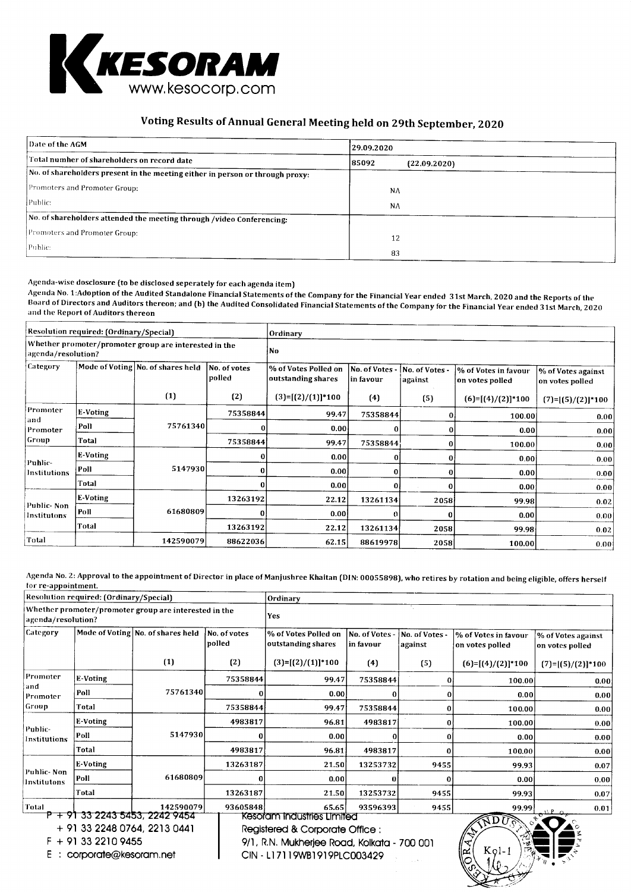

### Voting Results of Annual General Meeting held on 29th September, 2020

| Date of the AGM                                                               | 29.09.2020             |  |  |  |
|-------------------------------------------------------------------------------|------------------------|--|--|--|
| Total number of shareholders on record date                                   | 85092 <br>(22.09.2020) |  |  |  |
| No. of shareholders present in the meeting either in person or through proxy: |                        |  |  |  |
| Promoters and Promoter Group:                                                 | NA                     |  |  |  |
| Public:                                                                       | NA                     |  |  |  |
| No. of shareholders attended the meeting through /video Conferencing:         |                        |  |  |  |
| Promoters and Promoter Group:                                                 | 12                     |  |  |  |
| Public:                                                                       | 83                     |  |  |  |

Agenda-wise dosclosure (to be disclosed seperately for each agenda item)

Agenda No. 1:Adoption of the Audited Standalone Financial Statements of the Company for the Financial Year ended 31st March, 2020 and the Reports of the Board of Directors and Auditors thereon; and (b) the Audited Consolidated Financial Statements of the Company for the Financial Year ended 31st March, 2020 and the Report of Auditors thereon

|                             | Resolution required: (Ordinary/Special)                                     |                                   |                        |                                            | Ordinary                     |                           |                                         |                                       |  |  |  |
|-----------------------------|-----------------------------------------------------------------------------|-----------------------------------|------------------------|--------------------------------------------|------------------------------|---------------------------|-----------------------------------------|---------------------------------------|--|--|--|
|                             | Whether promoter/promoter group are interested in the<br>agenda/resolution? |                                   |                        | l No                                       |                              |                           |                                         |                                       |  |  |  |
| Category                    |                                                                             | Mode of Voting No. of shares held | No. of votes<br>polled | % of Votes Polled on<br>outstanding shares | No. of Votes -<br> in favour | No. of Votes -<br>against | % of Votes in favour<br>on votes polled | % of Votes against<br>on votes polled |  |  |  |
|                             |                                                                             | (1)                               | (2)                    | $(3)=[(2)/(1)]*100$                        | (4)                          | (5)                       | $(6)=[(4)/(2)]*100$                     | $(7)=[(5)/(2)]*100$                   |  |  |  |
| Promoter<br>and<br>Promoter | E-Voting                                                                    | 75761340                          | 75358844               | 99.47                                      | 75358844                     | 0                         | 100.00                                  | 0.00                                  |  |  |  |
|                             | Poll                                                                        |                                   |                        | 0.00                                       | 0                            | $\bf{0}$                  | 0.00                                    | 0.001                                 |  |  |  |
| Group                       | Total                                                                       |                                   | 75358844               | 99.47                                      | 75358844                     | $\bf{0}$                  | 100.00                                  | 0.00                                  |  |  |  |
|                             | E-Voting                                                                    |                                   | οI                     | 0.00                                       | 0                            | 0                         | 0.00                                    | 0.00                                  |  |  |  |
| Puhlic-<br>Institutions     | Poll                                                                        | 5147930                           | $\mathbf{0}$           | 0.00                                       | 0                            | o                         | 0.00                                    | 0.00                                  |  |  |  |
|                             | Total                                                                       |                                   | $\bf{0}$               | 0.00                                       | 0                            | 0                         | 0.00                                    | 0.00                                  |  |  |  |
|                             | E-Voting                                                                    |                                   | 13263192               | 22.12                                      | 13261134                     | 2058                      | 99.98                                   | 0.02                                  |  |  |  |
| Public-Non<br>Institutons   | Poll                                                                        | 61680809                          | 0                      | 0.00                                       | 0                            |                           | 0.00                                    | 0.00                                  |  |  |  |
|                             | Total                                                                       |                                   | 13263192               | 22.12                                      | 13261134                     | 2058                      | 99.98                                   | 0.02                                  |  |  |  |
| Total                       |                                                                             | 142590079                         | 88622036               | 62.15                                      | 88619978                     | 2058                      | 100.00                                  | 0.00                                  |  |  |  |

Agenda No. 2: Approval to the appointment of Director in place of Manjushree Khaitan (DIN: 00055898), who retires by rotation and being eligible, offers herself for re-appointment.

|                                                                                                                     | Resolution required: (Ordinary/Special) |                                                       |                        | Ordinary                                                                                                                                    |                           |                                            |                                         |                                       |  |  |
|---------------------------------------------------------------------------------------------------------------------|-----------------------------------------|-------------------------------------------------------|------------------------|---------------------------------------------------------------------------------------------------------------------------------------------|---------------------------|--------------------------------------------|-----------------------------------------|---------------------------------------|--|--|
| agenda/resolution?                                                                                                  |                                         | Whether promoter/promoter group are interested in the |                        | <b>Yes</b>                                                                                                                                  |                           |                                            |                                         |                                       |  |  |
| Category                                                                                                            |                                         | Mode of Voting No. of shares held                     | No. of votes<br>polled | % of Votes Polled on<br>outstanding shares                                                                                                  | No. of Votes<br>in favour | No. of Votes -<br>against                  | % of Votes in favour<br>on votes polled | % of Votes against<br>on votes polled |  |  |
|                                                                                                                     |                                         | (1)                                                   | (2)                    | $(3)=[(2)/(1)]*100$                                                                                                                         | (4)                       | (5)                                        | $(6)=[(4)/(2)]*100$                     | $(7)=[(5)/(2)]*100$                   |  |  |
| Promoter<br>and                                                                                                     | <b>E-Voting</b>                         |                                                       | 75358844               | 99.47                                                                                                                                       | 75358844                  | 0                                          | 100.00                                  | 0.00                                  |  |  |
| Promoter                                                                                                            | Poll                                    | 75761340                                              |                        | 0.00                                                                                                                                        | 0                         | 0                                          | 0.00                                    | 0.00                                  |  |  |
| Group                                                                                                               | Total                                   |                                                       | 75358844               | 99.47                                                                                                                                       | 75358844                  | 0                                          | 100.00                                  | 0.00                                  |  |  |
|                                                                                                                     | E-Voting                                | 5147930                                               | 4983817                | 96.81                                                                                                                                       | 4983817                   | 0                                          | 100.00                                  | 0.00                                  |  |  |
| Public-<br>Institutions                                                                                             | Poll                                    |                                                       |                        | 0.00                                                                                                                                        |                           | 0                                          | 0.00                                    | 0.00                                  |  |  |
|                                                                                                                     | Total                                   |                                                       | 4983817                | 96.81                                                                                                                                       | 4983817                   | 0                                          | 100.00                                  | 0.00                                  |  |  |
|                                                                                                                     | E-Voting                                |                                                       | 13263187               | 21.50                                                                                                                                       | 13253732                  | 9455                                       | 99.93                                   | 0.07                                  |  |  |
| Public-Non<br>Institutons                                                                                           | Poll                                    | 61680809                                              |                        | 0.00                                                                                                                                        |                           | o                                          | 0.00                                    | 0.00                                  |  |  |
|                                                                                                                     | Total                                   |                                                       | 13263187               | 21.50                                                                                                                                       | 13253732                  | 9455                                       | 99.93                                   | 0.07                                  |  |  |
| Total                                                                                                               |                                         | 142590079                                             | 93605848               | 65.65                                                                                                                                       | 93596393                  | 9455                                       | 99.99                                   | 0.01                                  |  |  |
| P + 91 33 2243 5453, 2242 9454<br>+ 91 33 2248 0764, 2213 0441<br>F + 91 33 2210 9455<br>corporate@kesoram.net<br>E |                                         |                                                       |                        | Kesoram Industries Limited<br>Registered & Corporate Office :<br>9/1, R.N. Mukherjee Road, Kolkata - 700 001<br>CIN - L17119WB1919PIC003429 |                           | RDU<br>$\widetilde{\mathbb{R}}$<br>$KQ1-1$ |                                         |                                       |  |  |

<sup>E</sup>corporate@kesoram.net

CIN - L171 19WB1919PLC003429

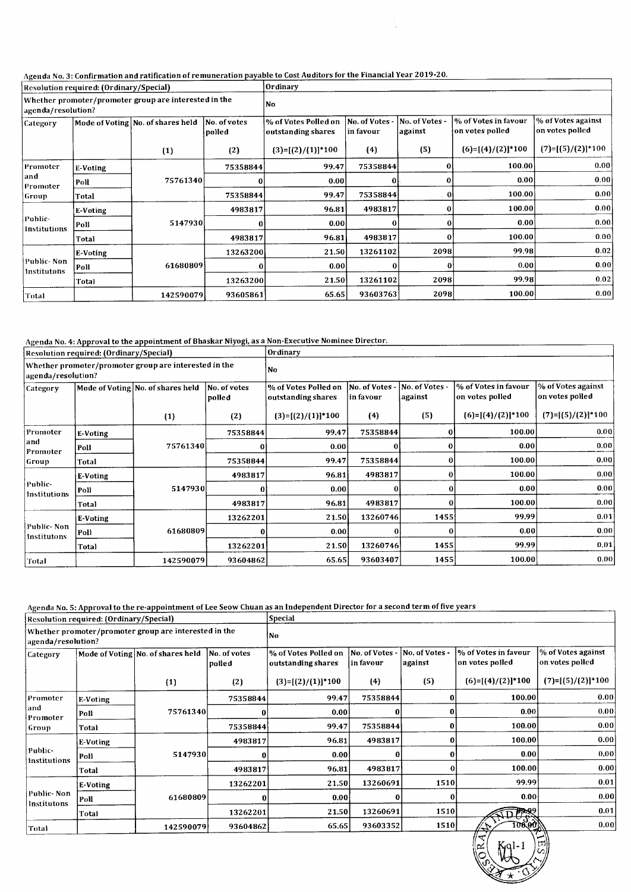#### Agenda No. 3: Confirmation and ratification of remuneration payable to Cost Auditors for the Financial Year 2019-20.

| Resolution required: (Ordinary/Special)                                     |                 |                                   |                        | Ordinary                                                                                              |          |          |                                         |                                       |  |  |
|-----------------------------------------------------------------------------|-----------------|-----------------------------------|------------------------|-------------------------------------------------------------------------------------------------------|----------|----------|-----------------------------------------|---------------------------------------|--|--|
| Whether promoter/promoter group are interested in the<br>agenda/resolution? |                 |                                   | No                     |                                                                                                       |          |          |                                         |                                       |  |  |
| Category                                                                    |                 | Mode of Voting No. of shares held | No. of votes<br>polled | No. of Votes -<br>No. of Votes<br>% of Votes Polled on<br>against<br>outstanding shares<br> in favour |          |          | % of Votes in favour<br>on votes polled | % of Votes against<br>on votes polled |  |  |
|                                                                             |                 | (1)                               | (2)                    | $(3)=[(2)/(1)]*100$                                                                                   | (4)      | (5)      | $(6)=[(4)/(2)]*100$                     | $(7)=[(5)/(2)]*100$                   |  |  |
| Promoter<br> and<br> Promater                                               | <b>E-Voting</b> |                                   | 75358844               | 99.47                                                                                                 | 75358844 | $\Omega$ | 100.00                                  | 0.00                                  |  |  |
|                                                                             | Poll            | 75761340                          | 0                      | 0.001                                                                                                 | $\bf{0}$ | 0        | 0.00                                    | 0.00                                  |  |  |
| Group                                                                       | Total           |                                   | 75358844               | 99.47                                                                                                 | 75358844 | $\bf{0}$ | 100.00                                  | 0.00                                  |  |  |
|                                                                             | E-Voting        |                                   | 4983817                | 96.81                                                                                                 | 4983817  |          | 100.00                                  | 0.00                                  |  |  |
| Public-<br>Institutions                                                     | Poll            | 5147930                           | 0                      | 0.00                                                                                                  | 0        | 0        | 0.00                                    | 0.00                                  |  |  |
|                                                                             | Total           |                                   | 4983817                | 96.81                                                                                                 | 4983817  | Ω        | 100.00                                  | 0.00                                  |  |  |
|                                                                             | E-Voting        |                                   | 13263200               | 21.50                                                                                                 | 13261102 | 2098     | 99.98                                   | 0.02                                  |  |  |
| Public-Non<br>Institutons                                                   | Poll            | 61680809                          | $\mathbf{0}$           | 0.00                                                                                                  |          | 0        | 0.00                                    | 0.00                                  |  |  |
|                                                                             | Total           |                                   | 13263200               | 21.50                                                                                                 | 13261102 | 2098     | 99.98                                   | 0.02                                  |  |  |
| Total                                                                       |                 | 142590079                         | 93605861               | 65.65                                                                                                 | 93603763 | 2098l    | 100.00                                  | 0.00                                  |  |  |

#### Agenda No. 4: Approval to the appointment of Bhaskar Niyogi, as a Non-Executive Nominee Director.

|                             | Resolution required: (Ordinary/Special) |                                                       |                        | Ordinary                                   |                                                          |          |                                         |                                       |  |
|-----------------------------|-----------------------------------------|-------------------------------------------------------|------------------------|--------------------------------------------|----------------------------------------------------------|----------|-----------------------------------------|---------------------------------------|--|
| agenda/resolution?          |                                         | Whether promoter/promoter group are interested in the |                        | No                                         |                                                          |          |                                         |                                       |  |
| Category                    |                                         | Mode of Voting No. of shares held                     | No. of votes<br>polled | % of Votes Polled on<br>outstanding shares | No. of Votes -<br>No. of Votes -<br>against<br>in favour |          | % of Votes in favour<br>on votes polled | % of Votes against<br>on votes polled |  |
|                             |                                         | (1)                                                   | (2)                    | $(3)=[(2)/(1)]*100$                        | (4)                                                      | (5)      | $(6)=[(4)/(2)]*100$                     | $(7)=[(5)/(2)]*100$                   |  |
| Promoter<br>and<br>Promoter | E-Voting                                | 75761340                                              | 75358844               | 99.47                                      | 75358844                                                 | 0        | 100.00                                  | 0.00                                  |  |
|                             | Poll                                    |                                                       | 0                      | 0.00                                       |                                                          | $\bf{0}$ | 0.00                                    | 0.00                                  |  |
| Group                       | Total                                   |                                                       | 75358844               | 99.47                                      | 75358844                                                 | 0        | 100.00                                  | 0.00                                  |  |
|                             | E-Voting                                |                                                       | 4983817                | 96.81                                      | 4983817                                                  | 0        | 100.00                                  | 0.00                                  |  |
| Public-<br>Institutions     | Poll                                    | 5147930                                               | 0                      | 0.00                                       |                                                          | 0        | 0.001                                   | 0.00                                  |  |
|                             | Total                                   |                                                       | 4983817                | 96.81                                      | 4983817                                                  | Ω        | 100.00                                  | 0.00                                  |  |
|                             | E-Voting                                |                                                       | 13262201               | 21.50                                      | 13260746                                                 | 1455     | 99,99                                   | 0.01                                  |  |
| Public- Non-<br>Institutons | Poll                                    | 61680809                                              | $\Omega$               | 0.001                                      | O                                                        | 0        | 0.00                                    | 0.00                                  |  |
|                             | Total                                   |                                                       | 13262201               | 21.50                                      | 13260746                                                 | 1455     | 99.99                                   | 0.01                                  |  |
| Total                       |                                         | 142590079                                             | 93604862               | 65.65                                      | 93603407                                                 | 1455     | 100.00                                  | 0.00                                  |  |

#### Agenda No. 5: Approval to the re-appointment of Lee Seow Chuan as an Independent Director for a second term of five years

|                                       | Resolution required: (Ordinary/Special) |                                                       |                        | Special                                    |                             |                           |                                         |                                       |  |  |
|---------------------------------------|-----------------------------------------|-------------------------------------------------------|------------------------|--------------------------------------------|-----------------------------|---------------------------|-----------------------------------------|---------------------------------------|--|--|
| agenda/resolution?                    |                                         | Whether promoter/promoter group are interested in the |                        | No                                         |                             |                           |                                         |                                       |  |  |
| Category                              |                                         | Mode of Voting No. of shares held                     | No. of votes<br>polled | % of Votes Polled on<br>outstanding shares | No. of Votes -<br>in favour | No. of Votes -<br>against | % of Votes in favour<br>on votes polled | % of Votes against<br>on votes polled |  |  |
|                                       |                                         | (1)                                                   | (2)                    | $(3)=[(2)/(1)]*100$                        | (4)                         | (5)                       | $(6)=[(4)/(2)]*100$                     | $(7)=[(5)/(2)]*100$                   |  |  |
| Promoter<br>land<br>Promoter<br>Group | E-Voting                                |                                                       | 75358844               | 99.47                                      | 75358844                    | 0                         | 100.00                                  | 0.00                                  |  |  |
|                                       | Poll                                    | 75761340                                              | O                      | 0.00                                       |                             | 0                         | 0.00                                    | 0.00                                  |  |  |
|                                       | Total                                   |                                                       | 75358844               | 99.47                                      | 75358844                    | 0                         | 100.00                                  | 0.00                                  |  |  |
|                                       | E-Voting                                |                                                       | 4983817                | 96.81                                      | 4983817                     | $\bf{0}$                  | 100.00                                  | 0.00                                  |  |  |
| Public-<br><b>Institutions</b>        | Poll                                    | 5147930                                               |                        | 0.001                                      | 0                           | 0                         | 0.00                                    | 0.00                                  |  |  |
|                                       | Total                                   |                                                       | 4983817                | 96.81                                      | 4983817                     | 0                         | 100.00                                  | 0.00                                  |  |  |
|                                       | E-Voting                                |                                                       | 13262201               | 21.50                                      | 13260691                    | 1510                      | 99.99                                   | 0.01                                  |  |  |
| Public- Non                           | Poll                                    | 61680809                                              |                        | 0.00                                       | 0                           | 0                         | 0.00                                    | 0,00                                  |  |  |
| Institutons                           | Total                                   |                                                       | 13262201               | 21.50                                      | 13260691                    | 1510                      | <b>DPS?</b>                             | 0.01                                  |  |  |
| Total                                 |                                         | 142590079                                             | 93604862               | 65,65                                      | 93603352                    | 1510                      | <b>TOO OON</b><br>مائية<br>ب ا          | 0.00                                  |  |  |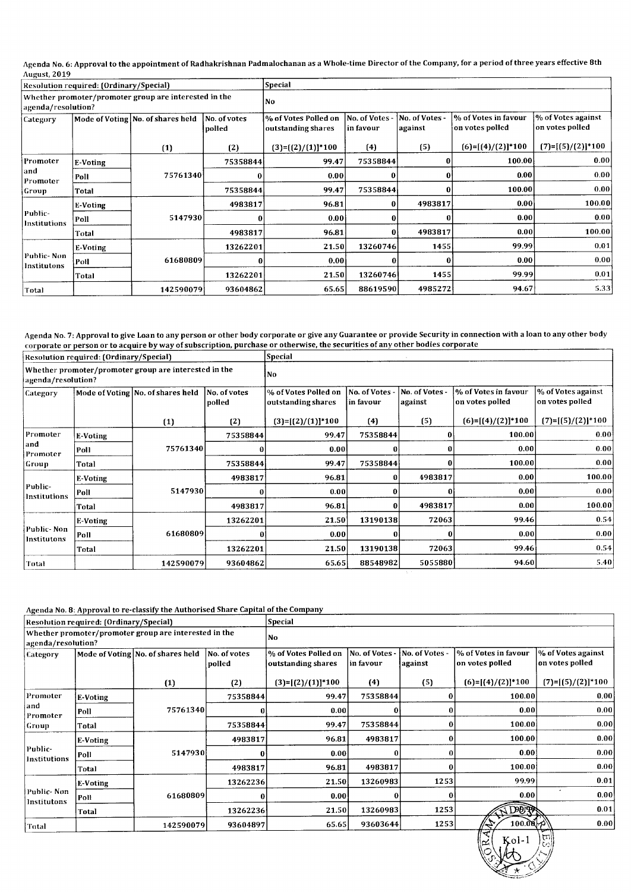Agenda No. 6: Approval to the appointment of Radhakrishnan Padmalochanan as a Whole-time Director of the Company, for a period of three years effective 8th<br>August, 2019

|                                                                             | Resolution required: (Ordinary/Special) |                                   |                        | <b>Special</b>                             |                             |                           |                                         |                                       |  |
|-----------------------------------------------------------------------------|-----------------------------------------|-----------------------------------|------------------------|--------------------------------------------|-----------------------------|---------------------------|-----------------------------------------|---------------------------------------|--|
| Whether promoter/promoter group are interested in the<br>agenda/resolution? |                                         |                                   | <b>No</b>              |                                            |                             |                           |                                         |                                       |  |
| Category                                                                    |                                         | Mode of Voting No. of shares held | No. of votes<br>polled | % of Votes Polled on<br>outstanding shares | No. of Votes -<br>in favour | No. of Votes -<br>against | % of Votes in favour<br>on votes polled | % of Votes against<br>on votes polled |  |
|                                                                             |                                         | (1)                               | (2)                    | $(3)=(2)/(1)$ <sup>*</sup> 100             | (4)                         | (5)                       | $(6)=[(4)/(2)]*100$                     | $(7)=[(5)/(2)]*100$                   |  |
| Promoter                                                                    | E-Voting                                |                                   | 75358844               | 99.47                                      | 75358844                    | 0                         | 100.00                                  | 0.00                                  |  |
| and<br>Promoter                                                             | Poll                                    | 75761340                          | 0                      | 0.00                                       | 0                           | $\bf{0}$                  | 0.00                                    | 0.00                                  |  |
| Group                                                                       | Total                                   |                                   | 75358844               | 99.47                                      | 75358844                    | $\bf{0}$                  | 100.00                                  | 0.00                                  |  |
|                                                                             | <b>E-Voting</b>                         |                                   | 4983817                | 96.81                                      | 0                           | 4983817                   | 0.00                                    | 100.00                                |  |
| Public-<br>Institutions                                                     | Poll                                    | 5147930                           | 0                      | 0.00                                       |                             |                           | 0.00                                    | 0.00                                  |  |
|                                                                             | Total                                   |                                   | 4983817                | 96.81                                      | 0                           | 4983817                   | 0.00                                    | 100.00                                |  |
|                                                                             | E-Voting                                |                                   | 13262201               | 21.50                                      | 13260746                    | 1455                      | 99.99                                   | 0.01                                  |  |
| Public-Non<br>Institutons                                                   | Poll                                    | 61680809                          |                        | 0.001                                      | 0                           | 0                         | 0.001                                   | 0.00                                  |  |
|                                                                             | Total                                   |                                   | 13262201               | 21.50                                      | 13260746                    | 1455                      | 99.99                                   | 0.01                                  |  |
| Total                                                                       |                                         | 142590079                         | 93604862               | 65.65                                      | 88619590                    | 4985272                   | 94.67                                   | 5.33                                  |  |

Agenda No. 7: Approval to give Loan to any person or other body corporate or give any Guarantee or provide Security in connection with a loan to any other body corporate or person or to acquire by way of subscription, purchase or otherwise, the securities of any other bodies corporat

| Resolution required: (Ordinary/Special)                                     |                 |                                   |                        | <b>Special</b>                             |                            |                           |                                          |                                       |  |
|-----------------------------------------------------------------------------|-----------------|-----------------------------------|------------------------|--------------------------------------------|----------------------------|---------------------------|------------------------------------------|---------------------------------------|--|
| Whether promoter/promoter group are interested in the<br>agenda/resolution? |                 |                                   | No.                    |                                            |                            |                           |                                          |                                       |  |
| Category                                                                    |                 | Mode of Voting No. of shares held | No. of votes<br>polled | % of Votes Polled on<br>outstanding shares | No. of Votes<br> in favour | No. of Votes -<br>against | l% of Votes in favour<br>on votes polled | % of Votes against<br>on votes polled |  |
|                                                                             |                 | (1)                               | (2)                    | $(3)=[(2)/(1)]*100$                        | (4)                        | (5)                       | $(6)=[(4)/(2)]*100$                      | $(7)=[(5)/(2)]*100$                   |  |
| Promoter                                                                    | E-Voting        | 75761340                          | 75358844               | 99.47                                      | 75358844                   | 0                         | 100.00                                   | 0.00                                  |  |
| and<br>Promoter                                                             | Poll            |                                   | $\bf{0}$               | 0.001                                      |                            |                           | 0.00                                     | 0.00                                  |  |
| Group                                                                       | Total           |                                   | 75358844               | 99.47                                      | 75358844                   |                           | 100.00                                   | 0.00                                  |  |
|                                                                             | <b>E-Voting</b> |                                   | 4983817                | 96.81                                      | 0                          | 4983817                   | 0.00                                     | 100.00                                |  |
| Public-<br>Institutions                                                     | Poll            | 5147930                           | 0                      | 0.00                                       | 0                          |                           | 0.00                                     | 0.001                                 |  |
|                                                                             | Total           |                                   | 4983817                | 96.81                                      | 0                          | 4983817                   | 0.00                                     | 100.00                                |  |
|                                                                             | E-Voting        |                                   | 13262201               | 21.50                                      | 13190138                   | 72063                     | 99.46                                    | 0.54                                  |  |
| Public-Non<br>Institutons                                                   | Poll            | 61680809                          | $\Omega$               | 0.00                                       | 0                          |                           | 0.00                                     | 0.00                                  |  |
|                                                                             | Total           |                                   | 13262201               | 21.50                                      | 13190138                   | 72063                     | 99.46                                    | 0.54                                  |  |
| Total                                                                       |                 | 142590079                         | 93604862               | 65.65                                      | 88548982                   | 5055880                   | 94.60                                    | 5.40                                  |  |

Agenda No. 8: Approval to re-classify the Authorised Share Capital of the Company

|                         | Resolution required: (Ordinary/Special) |                                                       |                        | <b>Special</b>                             |                             |                           |                                         |                                       |  |  |
|-------------------------|-----------------------------------------|-------------------------------------------------------|------------------------|--------------------------------------------|-----------------------------|---------------------------|-----------------------------------------|---------------------------------------|--|--|
| agenda/resolution?      |                                         | Whether promoter/promoter group are interested in the |                        | No.                                        |                             |                           |                                         |                                       |  |  |
| Category                |                                         | Mode of Voting No. of shares held                     | No. of votes<br>polled | % of Votes Polled on<br>outstanding shares | No. of Votes -<br>in favour | No. of Votes -<br>against | % of Votes in favour<br>on votes polled | % of Votes against<br>on votes polled |  |  |
|                         |                                         | (1)                                                   | (2)                    | $(3)=[(2)/(1)]^{*}100$                     | (4)                         | (5)                       | $(6)=[(4)/(2)]*100$                     | $(7)=[(5)/(2)]*100$                   |  |  |
| Promoter                | <b>E-Voting</b>                         | 75761340                                              | 75358844               | 99.47                                      | 75358844                    | 0                         | 100.00                                  | 0.00                                  |  |  |
| and<br>Promoter         | Poll                                    |                                                       |                        | 0.00                                       | 0                           | $\bf{0}$                  | 0.00                                    | 0.00                                  |  |  |
| Group                   | Total                                   |                                                       | 75358844               | 99.47                                      | 75358844                    | 0                         | 100.00                                  | 0.00                                  |  |  |
|                         | E-Voting                                |                                                       | 4983817                | 96.81                                      | 4983817                     | 0                         | 100.00                                  | 0.00                                  |  |  |
| Public-<br>Institutions | Poll                                    | 5147930                                               | O                      | 0.001                                      | $\Omega$                    | 0                         | 0.00                                    | 0.00                                  |  |  |
|                         | Total                                   |                                                       | 4983817                | 96.81                                      | 4983817                     | 0                         | 100.00                                  | 0.00                                  |  |  |
|                         | E-Voting                                |                                                       | 13262236               | 21.50                                      | 13260983                    | 1253                      | 99.99                                   | 0.01                                  |  |  |
| Public- Non-            | Poll                                    | 61680809                                              | $\bf{0}$               | 0.001                                      | 0                           | 0                         | 0.00                                    | 0.00                                  |  |  |
| Institutons             | Total                                   |                                                       | 13262236               | 21.50                                      | 13260983                    | 1253                      | <b>ADOTT</b>                            | 0.01                                  |  |  |
| Total                   |                                         | 142590079                                             | 93604897               | 65.65                                      | 93603644                    | 1253                      | 100.00<br>ہے آ                          | 0.00                                  |  |  |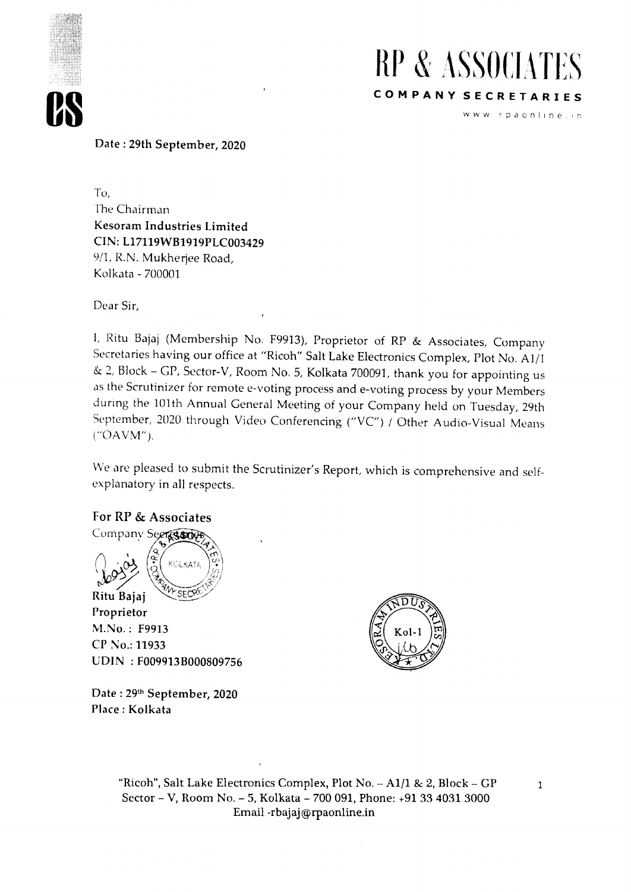



www.rpaonline.in

Date : 29th September, 2020

To, The Chairman Kesoram Industries Limited CIN: L17119WB1919PLC003429 9/1, R.N. Mukherjee Road, Kolkata - 700001

Dear Sir,

I, Ritu Bajaj (Membership No. F9913), Proprietor of RP & Associates, Company Secretaries having our office at "Ricoh" Salt Lake Electronics Complex, Plot No. A1/1 & 2, Block - GP, Sector-V, Room No. 5, Kolkata 700091, thank you for appointing us as the Scrutinizer for remote e-voting process and e-voting process by your Members during the 101th Annual General Meeting of your Company held on Tuesday, 29th September, 2020 through Video Conferencing ("VC") / Other Audio-Visual Means ("OAVM").

We are pleased to submit the Scrutinizer's Report, which is comprehensive and selfexplanatory in all respects.

#### For RP & Associates

Company Seeres sor KOLKATA Ritu Bajaj Proprietor M.No. : F9913 CP No.: 11933 UDIN : F009913B000809756



Date: 29<sup>th</sup> September, 2020 Place : Kolkata

> "Ricoh", Salt Lake Electronics Complex, Plot No. - A1/1 & 2, Block - GP Sector - V, Room No. - 5, Kolkata - 700 091, Phone: +91 33 4031 3000 Email -rbajaj@rpaonline.in

 $\mathbf{1}$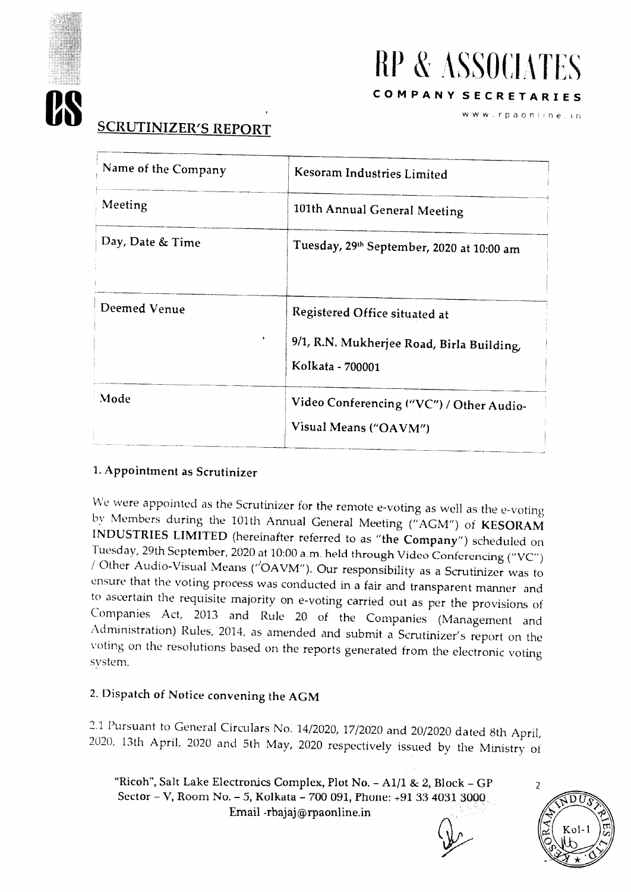

# **RP & ASSOCIATES COMPANY SECRETARIES**

www.rpaonline.in

# **SCRUTINIZER'S REPORT**

| Name of the Company | Kesoram Industries Limited                                                                     |
|---------------------|------------------------------------------------------------------------------------------------|
| Meeting             | 101th Annual General Meeting                                                                   |
| Day, Date & Time    | Tuesday, 29th September, 2020 at 10:00 am                                                      |
| Deemed Venue        | Registered Office situated at<br>9/1, R.N. Mukherjee Road, Birla Building,<br>Kolkata - 700001 |
| Mode                | Video Conferencing ("VC") / Other Audio-<br>Visual Means ("OAVM")                              |

#### 1.Appointment as Scrutinizer

We were appointed as the Scrutinizer for the remote e-voting as well as the e-voting by Members during the 101th Annual General Meeting ("AGM") of KESORAM INDUSTRIES LIMITED (hereinafter referred to as "the Company") scheduled on Tuesday, 29th September, 2020 at 10:00 a.m. held through Video Conferencing ("VC") / Other Audio-Visual Means ("OAVM"). Our responsibility as a Scrutinizer was to ensure that the voting process was conducted in a fair and transparent manner and to ascertain the requisite majority on e-voting carried out as per the provisions of Companies Act, 2013 and Rule 20 of the Companies (Management and Administration) Rules, 2014, as amended and submit a Scrutinizer's report on the voting on the resolutions based on the reports generated from the electronic voting system.

### 2. Dispatch of Notice convening the AGM

2.1 Pursuant to General Circulars No. 14/2020, 17/2020 and 20/2020 dated 8th April, 2020, 13th April, 2020 and 5th May, 2020 respectively issued by the Ministry of

"Ricoh", Salt Lake Electronics Complex, Plot No. - A1/1 & 2, Block - GP Sector - V, Room No. - 5, Kolkata - 700 091, Phone: +91 33 4031 3000 Email -rhajaj®rpaonline.in

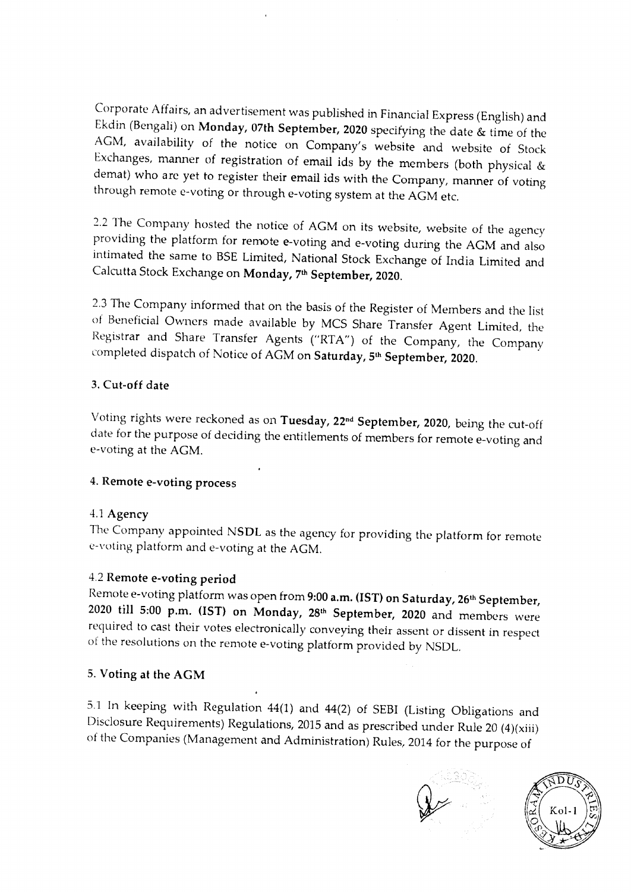Corporate Affairs, an advertisement was published in Financial Express (English) and Ekdin (Bengali) on Monday, 07th September, 2020 specifying the date & time of the AGM, availability of the notice on Company's website and website of Stock Exchanges, manner of registration of email ids by the members (both physical & demat) who are yet to register their email ids with the Company, manner of voting through remote e-voting or through e-voting system at the AGM etc.

2.2 The Company hosted the notice of AGM on its website, website of the agency providing the platform for remote e-voting and e-voting during the AGM and also intimated the same to BSE Limited, National Stock Exchange of India Limited and Calcutta Stock Exchange on Monday, 7th September, 2020.

2.3 The Company informed that on the basis of the Register of Members and the list of Beneficial Owners made available by MCS Share Transfer Agent Limited, the Registrar and Share Transfer Agents ("RTA") of the Company, the Company completed dispatch of Notice of AGM on **Saturday, 5<sup>th</sup> September, 2020**.

#### 3.Cut-off date

Voting rights were reckoned as on Tuesday, 22<sup>nd</sup> September, 2020, being the cut-off date for the purpose of deciding the entitlements of members for remote e-voting and e-voting at the AGM.

#### 4.Remote e-voting process

#### 4.1 Agency

The Company appointed NSDL as the agency for providing the platform for remote e-voting platform and e-voting at the AGM.

#### 4.2 Remote e-voting period

Remote e-voting platform was open from 9:00 a.m. (IST) on Saturday, 26<sup>th</sup> September, 2020 till 5:00 p.m. (1ST) on Monday, 28th September, 2020 and members were required to cast their votes electronically conveying their assent or dissent in respect of the resolutions on the remote e-voting platform provided by NSDL.

#### 5. Voting at the AGM

5.1 In keeping with Regulation 44(1) and 44(2) of SEBI (Listing Obligations and Disclosure Requirements) Regulations, 2015 and as prescribed under Rule 20 (4)(xiii) of the Companies (Management and Administration) Rules, 2014 for the purpose of



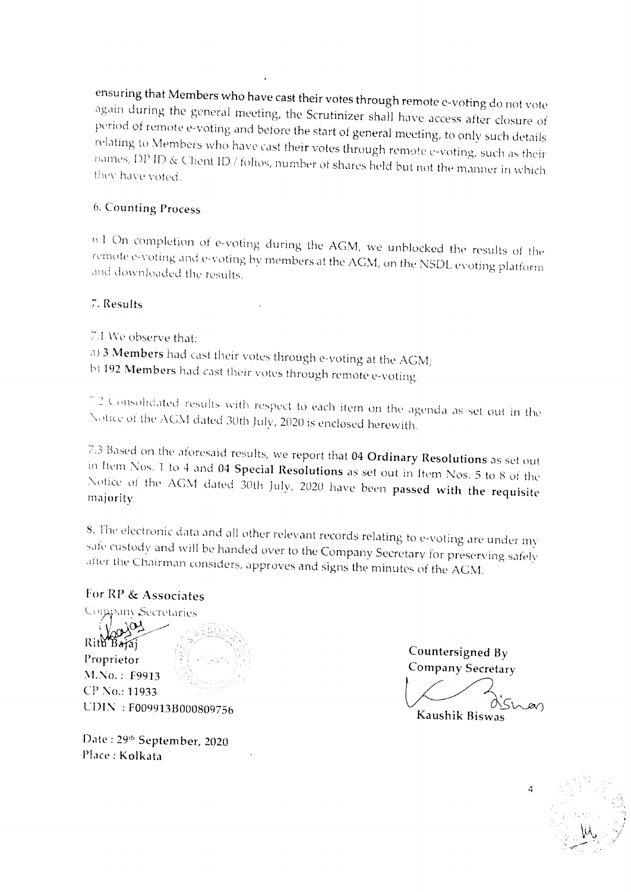ensuring that Members who have cast their votes through remote e-voting do not vote again during the general meeting, the Scrutinizer shall have access after closure of period of remote e-voting and before the start of general meeting, to only such details relating to Members who have cast their votes through remote e-voting, such as their names, DP ID & Client ID / folios, number of shares held but not the manner in which they have voted.

#### 6. Counting Process

e.1 On completion of e - voting during the AGM, we unblocked the results of the remote e-voting and e-voting by members at the AGM, on the NSDL evoting platform and downloaded the results.

#### 7. Results

7.1 We observe that: a) 3 Members had cast their votes through e-voting at the AGM; b) 192 Members had cast their votes through remote e-voting.

*. ( lsolicated results* with respect to each item on the agenda as set out in the Notice of the AGM dated 30th July, 2020 is enclosed herewith.

7.3 Based on the aforesaid results, we report that 04 Ordinary Resolutions as set out in Item Nos. 1 to 4 and 04 Special Resolutions as set out in Item Nos. 5 to 8 of the Notice of the AGM dated 30th July, 2020 have been passed with the requisite majority.

8. The electronic data and all other relevant records relating to e-voting are under my sate custody and will be handed over to the Company Secretary for preserving safely alter the Chairman considers, approves and signs the minutes of the AGM.

#### For RP & Associates

Company Secretaries مستندر Rith Bajaj Proprietor M.No. : F9913 CP No.: 11933 LDIN : F009913B000809756

Date : 29<sup>th</sup> September, 2020 Place : Kolkata

Countersigned By Company Secretary

Kaushik Biswas

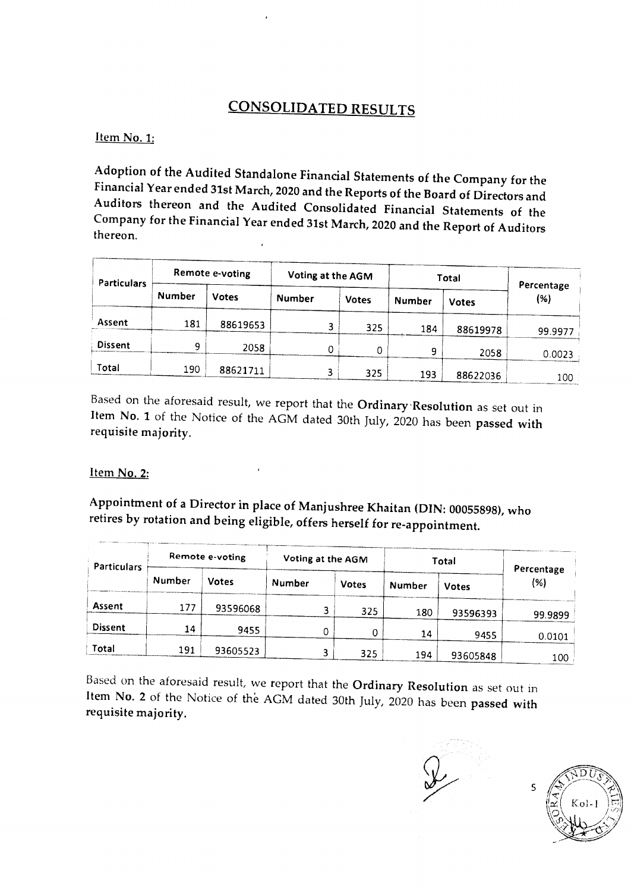## CONSOLIDATED RESULTS

Item No. 1:

Adoption of the Audited Standalone Financial Statements of the Company for the Financial Year ended 31st March, 2020 and the Reports of the Board of Directors and Auditors thereon and the Audited Consolidated Financial Statements of the Company for the Financial Year ended 31st March, 2020 and the Report of Auditors thereon.

| Particulars    |               | Remote e-voting | Voting at the AGM |              | Total  | Percentage   |         |
|----------------|---------------|-----------------|-------------------|--------------|--------|--------------|---------|
|                | <b>Number</b> | <b>Votes</b>    | <b>Number</b>     | <b>Votes</b> | Number | <b>Votes</b> | (%)     |
| Assent         | 181           | 88619653        |                   | 325          | 184    | 88619978     | 99.9977 |
| <b>Dissent</b> | 9             | 2058            | 0                 | 0            | 9      | 2058         | 0.0023  |
| Total          | 190           | 88621711        | 3                 | 325          | 193    | 88622036     | 100     |

Based on the aforesaid result, we report that the Ordinary Resolution as set out in Item No. 1 of the Notice of the AGM dated 30th July, 2020 has been passed with requisite majority.

#### Item No. 2:

Appointment of a Director in place of Manjushree Khaitan (DIN: 00055898), who retires by rotation and being eligible, offers herself for re-appointment.

| <b>Particulars</b> |               | Remote e-voting | Voting at the AGM |              | Total                  | Percentage |         |
|--------------------|---------------|-----------------|-------------------|--------------|------------------------|------------|---------|
|                    | <b>Number</b> | <b>Votes</b>    | Number            | <b>Votes</b> | Number<br><b>Votes</b> |            | (%)     |
| <b>Assent</b>      | 177           | 93596068        |                   | 325          | 180                    | 93596393   | 99.9899 |
| <b>Dissent</b>     | 14            | 9455            | 0                 | 0            | 14                     | 9455       | 0.0101  |
| Total              | 191           | 93605523        |                   | 325          | 194                    | 93605848   | 100     |

Based on the aforesaid result, we report that the Ordinary Resolution as set out in Item No. 2 of the Notice of the AGM dated 30th July, 2020 has been passed with requisite majority.

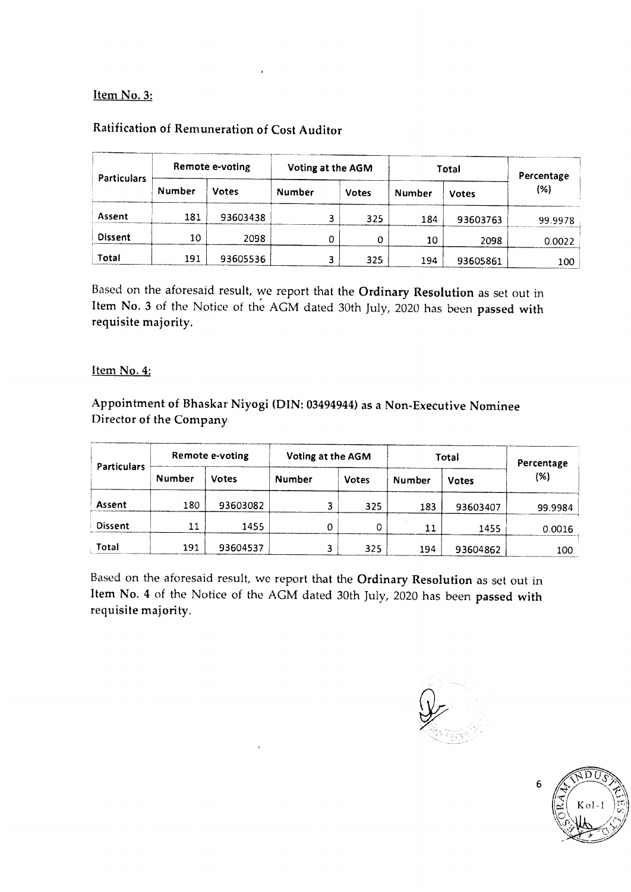#### **Item No. 3:**

| Particulars    |        | Remote e-voting | Voting at the AGM |              | <b>Total</b> |          | Percentage |  |
|----------------|--------|-----------------|-------------------|--------------|--------------|----------|------------|--|
|                | Number | <b>Votes</b>    | Number            | <b>Votes</b> | Number       | Votes    | (%)        |  |
| Assent         | 181    | 93603438        | 3                 | 325          | 184          | 93603763 | 99.9978    |  |
| <b>Dissent</b> | 10     | 2098            | 0                 | 0            | 10           | 2098     | 0.0022     |  |
| Total          | 191    | 93605536        |                   | 325          | 194          | 93605861 | 100        |  |

#### **Ratification of Remuneration of Cost Auditor**

Based on the aforesaid result, we report that the **Ordinary Resolution** as set out in **Item No. 3** of the Notice of the AGM dated 30th July, 2020 has been **passed with requisite majority.** 

#### **Item No. 4:**

**Appointment of Bhaskar Niyogi (DIN: 03494944) as a Non-Executive Nominee Director of the Company** 

| <b>Particulars</b> | Remote e-voting |              | Voting at the AGM |   | Total        |        | Percentage   |         |
|--------------------|-----------------|--------------|-------------------|---|--------------|--------|--------------|---------|
|                    | <b>Number</b>   | <b>Votes</b> | Number            |   | <b>Votes</b> | Number | <b>Votes</b> | (%)     |
| Assent             | 180             | 93603082     |                   |   | 325          | 183    | 93603407     | 99.9984 |
| <b>Dissent</b>     | 11              | 1455         |                   | 0 | 0            | 11     | 1455         | 0.0016  |
| Total              | 191             | 93604537     |                   |   | 325          | 194    | 93604862     | 100     |

Based on the aforesaid result, we report that the **Ordinary Resolution** as set out in **Item No. 4** of the Notice of the AGM dated 30th July, 2020 has been **passed with requisite majority.** 

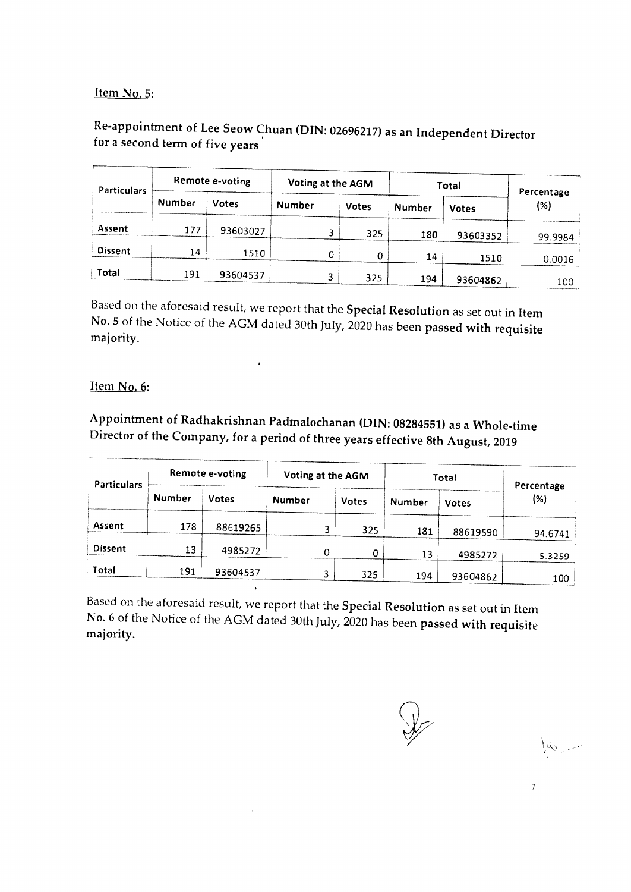#### Item No. 5:

### Re-appointment of Lee Seow Chuan (DIN: 02696217) as an Independent Director for a second term of five years

| Particulars    | Remote e-voting |              | Voting at the AGM |              | Total  |              | Percentage |
|----------------|-----------------|--------------|-------------------|--------------|--------|--------------|------------|
|                | Number          | <b>Votes</b> | <b>Number</b>     | <b>Votes</b> | Number | <b>Votes</b> | (%)        |
| Assent         | 177             | 93603027     |                   | 325          | 180    | 93603352     | 99.9984    |
| <b>Dissent</b> | 14              | 1510         | 0                 | 0            | 14     | 1510         | 0.0016     |
| Total          | 191             | 93604537     |                   | 325          | 194    | 93604862     | 100        |

Based on the aforesaid result, we report that the Special Resolution as set out in Item No. 5 of the Notice of the AGM dated 30th July, 2020 has been passed with requisite majority.

#### Item No. 6:

Appointment of Radhakrishnan Padmalochanan (DIN: 08284551) as a Whole-time Director of the Company, for a period of three years effective 8th August, 2019

| <b>Particulars</b> | Remote e-voting |              | Voting at the AGM |              | Total  |              | Percentage |
|--------------------|-----------------|--------------|-------------------|--------------|--------|--------------|------------|
|                    | Number          | <b>Votes</b> | <b>Number</b>     | <b>Votes</b> | Number | <b>Votes</b> | (%)        |
| <b>Assent</b>      | 178             | 88619265     |                   | 325          | 181    | 88619590     | 94.6741    |
| <b>Dissent</b>     | 13              | 4985272      | 0                 | 0            | 13     | 4985272      | 5.3259     |
| Total              | 191             | 93604537     |                   | 325          | 194    | 93604862     | 100        |

Based on the aforesaid result, we report that the Special Resolution as set out in Item No. 6 of the Notice of the AGM dated 30th July, 2020 has been passed with requisite majority.

 $\mu_{0}$